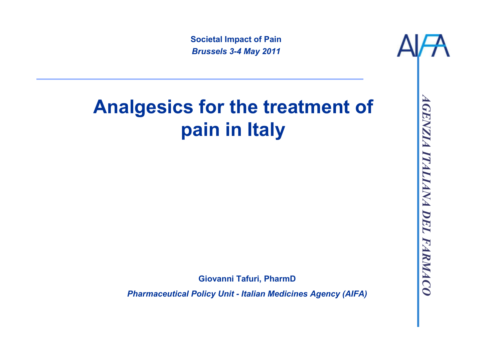Societal Impact of PainBrussels 3-4 May 2011

# AGENZIA ITALIANA DEL FARMACOGiovanni Tafuri, PharmD Pharmaceutical Policy Unit - Italian Medicines Agency (AIFA) Analgesics for the treatment of pain in Italy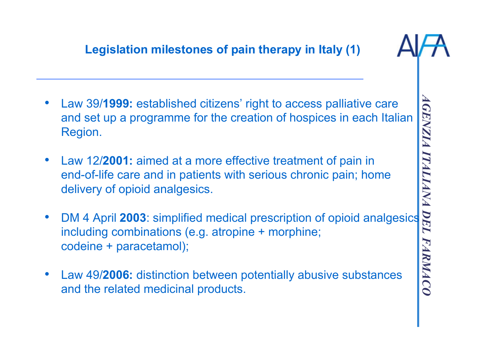# Legislation milestones of pain therapy in Italy (1)

- • Law 39/1999: established citizens' right to access palliative care and set up a programme for the creation of hospices in each Italian Region.
- $\bullet$  Law 12/2001: aimed at a more effective treatment of pain in end-of-life care and in patients with serious chronic pain; home delivery of opioid analgesics.
- •Law 39/**1999:** established citizens' right to access palliative care<br>and set up a programme for the creation of hospices in each Italian<br>Region.<br>Law 12/**2001:** aimed at a more effective treatment of pain in<br>end-of-life ca including combinations (e.g. atropine + morphine; codeine + paracetamol);
- • Law 49/2006: distinction between potentially abusive substances and the related medicinal products.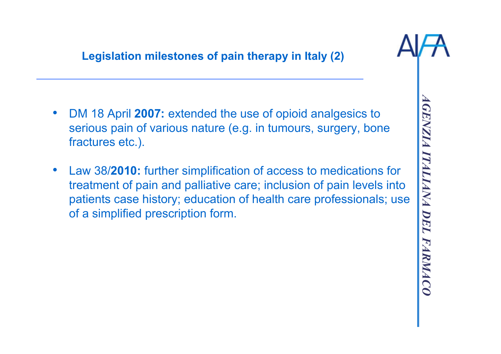

- 
- DM 18 April 2007: extended the use of opioid analgesics to<br>serious pain of various nature (e.g. in tumours, surgery, bone<br>fractures etc.).<br><br>• Law 38/2010: further simplification of access to medications for<br>treatment of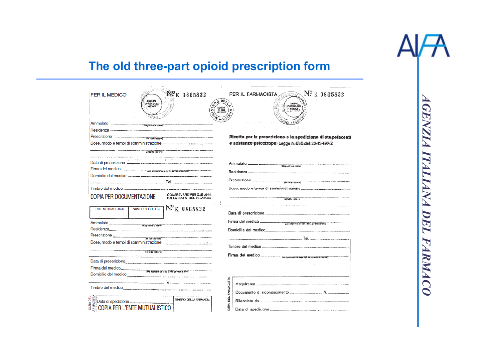

# The old three-part opioid prescription form

| Nº <sub>K 0865832</sub><br><b>PER IL MEDICO</b><br><b>THADRO</b><br>ORIGNE-OED<br>MEDICI                                                                                                                                                                                                                                                                                                                                                                                                    | Nº K 0865832<br>PER IL FARMACISTA<br>ORD NE DRI<br>CHICEN-                                                                                                                                                                                                     |
|---------------------------------------------------------------------------------------------------------------------------------------------------------------------------------------------------------------------------------------------------------------------------------------------------------------------------------------------------------------------------------------------------------------------------------------------------------------------------------------------|----------------------------------------------------------------------------------------------------------------------------------------------------------------------------------------------------------------------------------------------------------------|
| Ammalato<br>Prescrizione communication de la tale (et al. 1999)<br>Dose, modo e tempi di somministrazione - programma di programma di programma                                                                                                                                                                                                                                                                                                                                             | Ricetta per la prescrizione e la spedizione di stupefacenti<br>e sostanze psicotrope (Legge n. 685 del 22-12-1975).                                                                                                                                            |
| Domicilio del medico<br>.<br>Mainter-definition-definition and construction of the companies of the construction of the companies of the construction of the companies                                                                                                                                                                                                                                                                                                                      |                                                                                                                                                                                                                                                                |
| Timbro del medico<br>CONSERVARE PER DJE ANNI<br><b>COPIA PER DOCUMENTAZIONE</b><br>DALLA DATA DEL RILASCIO<br>1 N° <sub>K</sub> 0865832<br>NUMERO LIBRETTO<br><b>ENTE MUTUALISTICO</b>                                                                                                                                                                                                                                                                                                      | .<br>In the state of the first service of a common condition of the first product of<br>la talte istiare)                                                                                                                                                      |
| Ammalato<br>Residenza                                                                                                                                                                                                                                                                                                                                                                                                                                                                       | Firma del medico _______________ (De specte all'edo della processione)<br>Domicilio del medico                                                                                                                                                                 |
| Prescrizione<br>Dose, modo e tempi di somministrazione e contentiti di sulla provincia di sulla provincia di stato di stato di<br><b>Philip intiere)</b>                                                                                                                                                                                                                                                                                                                                    | Timbro del medico                                                                                                                                                                                                                                              |
| Data di preserizione<br>Firma del medico<br>Domicilio del medico<br>$\mathsf{T}\mathsf{e}_1, \ldots, \mathsf{e}_n, \ldots, \mathsf{e}_n, \ldots, \mathsf{e}_n, \ldots, \mathsf{e}_n, \ldots, \mathsf{e}_n, \ldots, \mathsf{e}_n, \ldots, \mathsf{e}_n, \ldots, \mathsf{e}_n, \ldots, \mathsf{e}_n, \ldots, \mathsf{e}_n, \ldots, \mathsf{e}_n, \ldots, \mathsf{e}_n, \ldots, \mathsf{e}_n, \ldots, \mathsf{e}_n, \ldots, \mathsf{e}_n, \ldots, \mathsf{e}_n, \ldots, \mathsf{e}_n, \ldots,$ |                                                                                                                                                                                                                                                                |
| Timbro del medico<br>CURADEL<br>ARMACISTA<br>TIMBRO DELLA FARMACIA<br><b>COPIA PER L'ENTE MUTUALISTICO</b>                                                                                                                                                                                                                                                                                                                                                                                  | FARMACISTA<br><b>JURA DEL</b><br>Rilasciato da esta componente componente e construcciones e con esta construcción e a construcción e a construcción e a construcción e a construcción e a construcción e a construcción e a construcción e a construcción e a |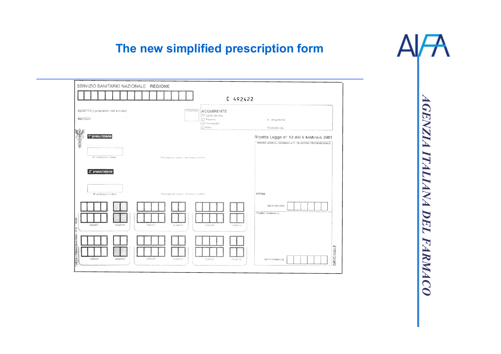# The new simplified prescription form

| ASSISTITO (o proprietario dell'animale)<br>INDIRIZZO           |        | FRENZIONE                                   | ACQUIRENTE<br>C Carta identità<br><b>C</b> Paterne<br>C Passaporto<br><b>C</b> Alto | Nº documento<br>Blascialo da                                                                    |  |
|----------------------------------------------------------------|--------|---------------------------------------------|-------------------------------------------------------------------------------------|-------------------------------------------------------------------------------------------------|--|
| ĘÈL<br>1 <sup>e</sup> prescrizione<br>Nº confezioni in lettere |        | Poeclogia noi moda e rigi lempo in listimo. |                                                                                     | Ricetta Legge nº 12 del 8 febbraio 2001<br>TIMBRO MEDICO, INDIRIZZO E Nº TELEPONO PROFESSIONALE |  |
| 2 <sup>e</sup> prescrizione                                    |        |                                             |                                                                                     |                                                                                                 |  |
| Nº confezioni in leitere                                       |        | Posologia nai tradu e per tempo in latinho  |                                                                                     | FIRMA                                                                                           |  |
| CODICE<br>NUMBERO                                              | CODICE | NUMBER                                      | COOKIE<br>NUMBER                                                                    | DATA MEDICO<br><b>TIMBRO FARMACIA</b>                                                           |  |
|                                                                |        |                                             |                                                                                     |                                                                                                 |  |

щ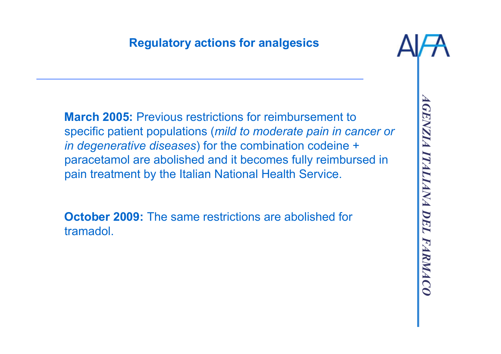## Regulatory actions for analgesics



March 2005: Previous restrictions for reimbursement to specific patient populations (mild to moderate pain in cancer or in degenerative diseases) for the combination codeine + paracetamol are abolished and it becomes fully reimbursed in pain treatment by the Italian National Health Service.

**October 2009:** The same restrictions are abolished for tramadol.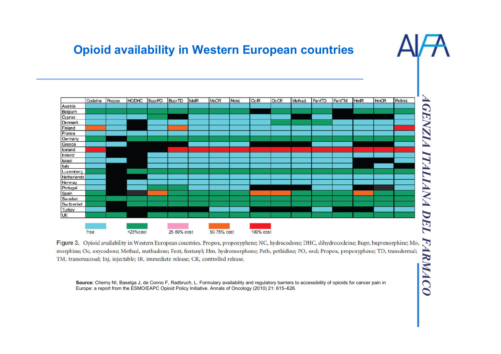### Opioid availability in Western European countries



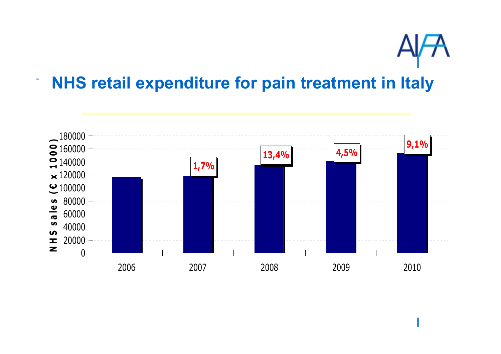

# NHS retail expenditure for pain treatment in Italy

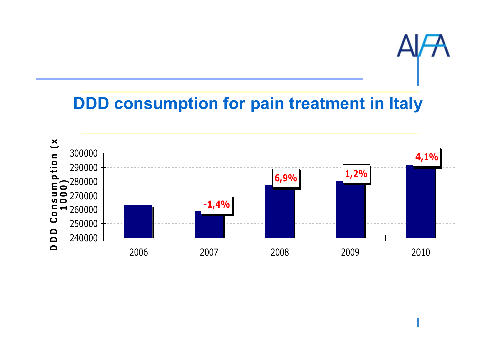![](_page_8_Picture_0.jpeg)

# DDD consumption for pain treatment in Italy

![](_page_8_Figure_2.jpeg)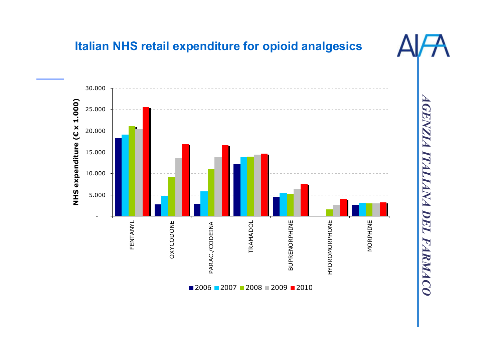![](_page_9_Figure_0.jpeg)

#### Italian NHS retail expenditure for opioid analgesics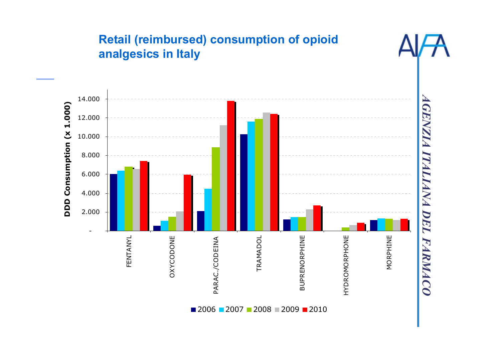![](_page_10_Figure_0.jpeg)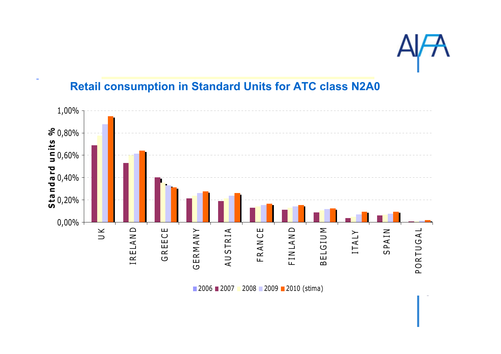![](_page_11_Picture_0.jpeg)

#### AGENZIA ITALIANA DEL FARMACO 0,00%0,20%0,40%0,60%0,80%1,00% $\leq$ I R E LA N D **G R E E C E** G E R M A N Y A U S T R I A **FRANCE** F I N LA N D B E L G I U M I T A L Y S P A I N P O R T U G A L Standard units  $\%$

#### Retail consumption in Standard Units for ATC class N2A0

■ 2006 ■ 2007 **2008 2009 2010 (stima)**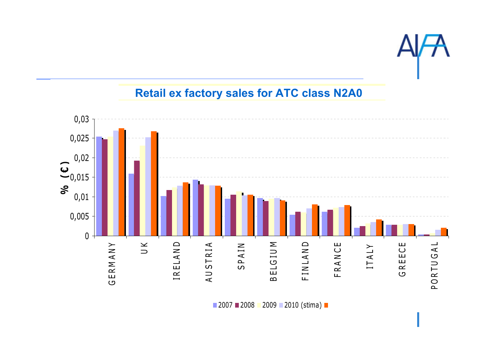![](_page_12_Picture_0.jpeg)

#### Retail ex factory sales for ATC class N2A0

![](_page_12_Figure_2.jpeg)

2007 <mark>■</mark> 2008 ■ 2009 ■ 2010 (stima)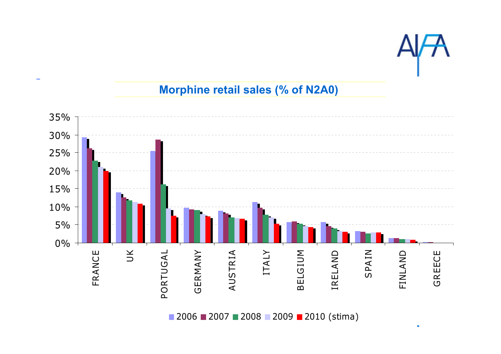![](_page_13_Picture_0.jpeg)

 $\bar{a}$ 

#### Morphine retail sales (% of N2A0)

![](_page_13_Figure_2.jpeg)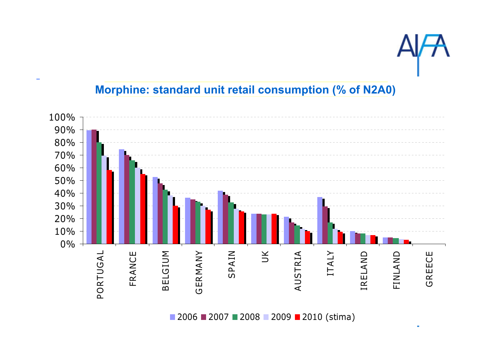![](_page_14_Picture_0.jpeg)

 $\overline{a}$ 

#### Morphine: standard unit retail consumption (% of N2A0)

![](_page_14_Figure_2.jpeg)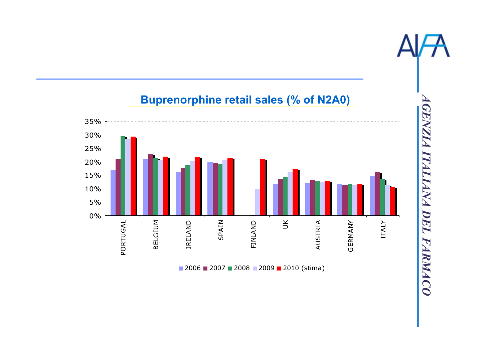![](_page_15_Figure_0.jpeg)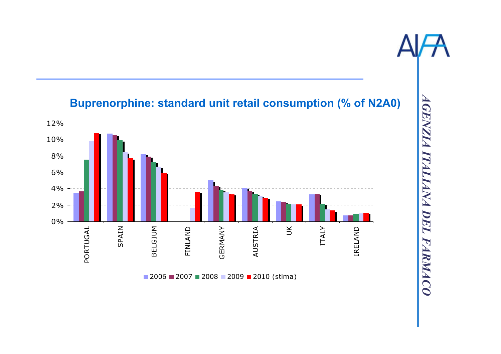![](_page_16_Picture_0.jpeg)

![](_page_16_Figure_1.jpeg)

#### Buprenorphine: standard unit retail consumption (% of N2A0)

2006 **■** 2007 ■ 2008 ■ 2009 ■ 2010 (stima)

PORTUGAL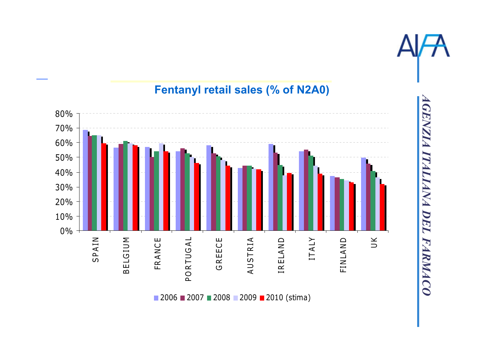![](_page_17_Figure_0.jpeg)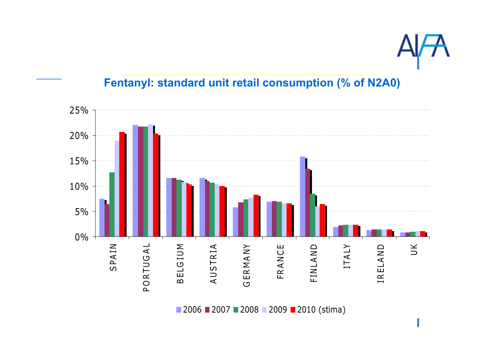![](_page_18_Picture_0.jpeg)

I

#### Fentanyl: standard unit retail consumption (% of N2A0)

![](_page_18_Figure_2.jpeg)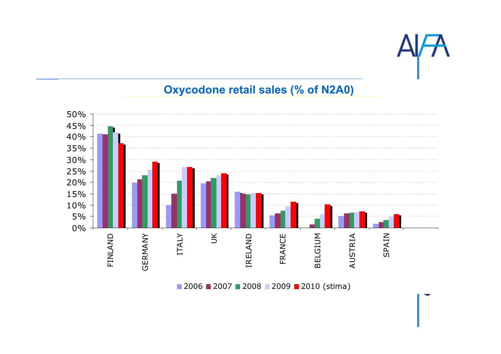![](_page_19_Picture_0.jpeg)

# **Oxycodone retail sales (% of N2A0)**

![](_page_19_Figure_2.jpeg)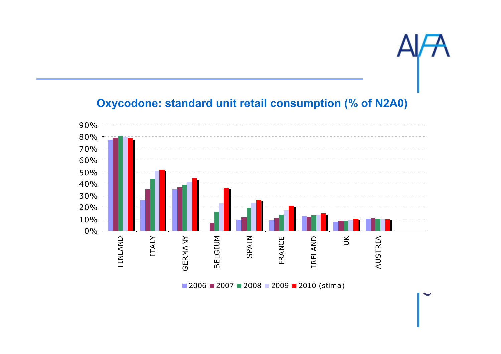![](_page_20_Picture_0.jpeg)

#### Oxycodone: standard unit retail consumption (% of N2A0)

![](_page_20_Figure_2.jpeg)

2006 <mark>■</mark> 2007 ■ 2008 ■ 2009 ■ 2010 (stima)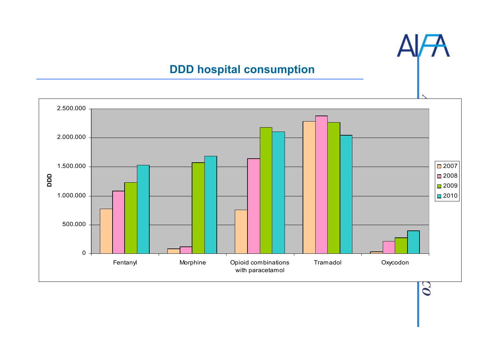#### DDD hospital consumption

![](_page_21_Figure_2.jpeg)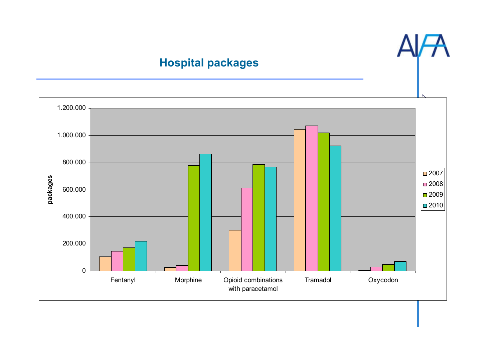#### Hospital packages

![](_page_22_Figure_1.jpeg)

![](_page_22_Figure_2.jpeg)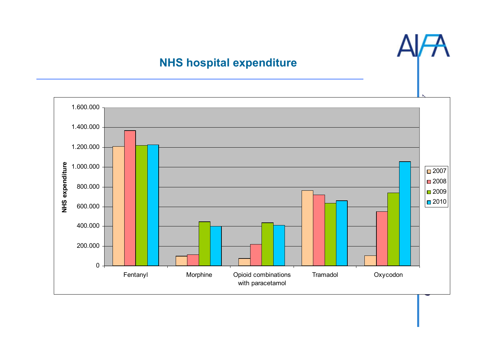#### NHS hospital expenditure

![](_page_23_Figure_1.jpeg)